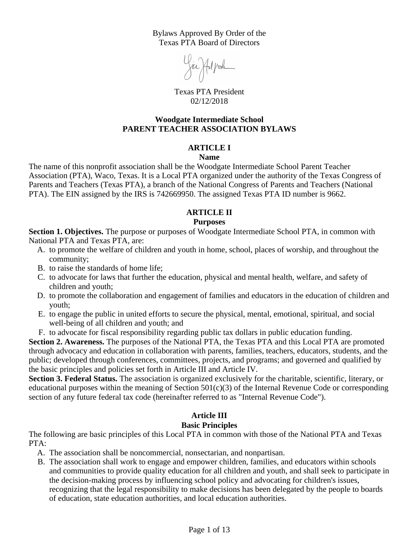Bylaws Approved By Order of the Texas PTA Board of Directors

Joa Hil junk

Texas PTA President 02/12/2018

#### **Woodgate Intermediate School PARENT TEACHER ASSOCIATION BYLAWS**

#### **ARTICLE I**

#### **Name**

The name of this nonprofit association shall be the Woodgate Intermediate School Parent Teacher Association (PTA), Waco, Texas. It is a Local PTA organized under the authority of the Texas Congress of Parents and Teachers (Texas PTA), a branch of the National Congress of Parents and Teachers (National PTA). The EIN assigned by the IRS is 742669950. The assigned Texas PTA ID number is 9662.

# **ARTICLE II**

#### **Purposes**

**Section 1. Objectives.** The purpose or purposes of Woodgate Intermediate School PTA, in common with National PTA and Texas PTA, are:

- A. to promote the welfare of children and youth in home, school, places of worship, and throughout the community;
- B. to raise the standards of home life;
- C. to advocate for laws that further the education, physical and mental health, welfare, and safety of children and youth;
- D. to promote the collaboration and engagement of families and educators in the education of children and youth;
- E. to engage the public in united efforts to secure the physical, mental, emotional, spiritual, and social well-being of all children and youth; and
- F. to advocate for fiscal responsibility regarding public tax dollars in public education funding.

**Section 2. Awareness.** The purposes of the National PTA, the Texas PTA and this Local PTA are promoted through advocacy and education in collaboration with parents, families, teachers, educators, students, and the public; developed through conferences, committees, projects, and programs; and governed and qualified by the basic principles and policies set forth in Article III and Article IV.

**Section 3. Federal Status.** The association is organized exclusively for the charitable, scientific, literary, or educational purposes within the meaning of Section  $501(c)(3)$  of the Internal Revenue Code or corresponding section of any future federal tax code (hereinafter referred to as "Internal Revenue Code").

# **Article III**

#### **Basic Principles**

The following are basic principles of this Local PTA in common with those of the National PTA and Texas PTA:

- A. The association shall be noncommercial, nonsectarian, and nonpartisan.
- B. The association shall work to engage and empower children, families, and educators within schools and communities to provide quality education for all children and youth, and shall seek to participate in the decision-making process by influencing school policy and advocating for children's issues, recognizing that the legal responsibility to make decisions has been delegated by the people to boards of education, state education authorities, and local education authorities.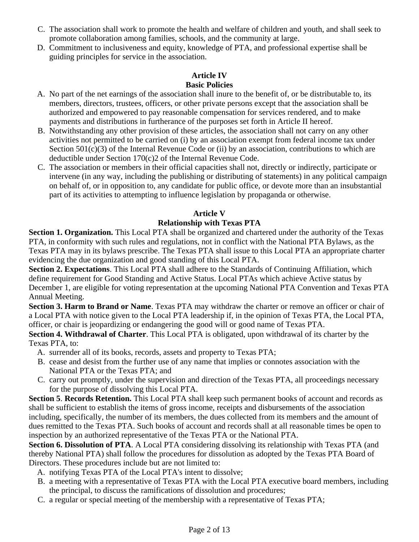- C. The association shall work to promote the health and welfare of children and youth, and shall seek to promote collaboration among families, schools, and the community at large.
- D. Commitment to inclusiveness and equity, knowledge of PTA, and professional expertise shall be guiding principles for service in the association.

# **Article IV Basic Policies**

- A. No part of the net earnings of the association shall inure to the benefit of, or be distributable to, its members, directors, trustees, officers, or other private persons except that the association shall be authorized and empowered to pay reasonable compensation for services rendered, and to make payments and distributions in furtherance of the purposes set forth in Article II hereof.
- B. Notwithstanding any other provision of these articles, the association shall not carry on any other activities not permitted to be carried on (i) by an association exempt from federal income tax under Section  $501(c)(3)$  of the Internal Revenue Code or (ii) by an association, contributions to which are deductible under Section 170(c)2 of the Internal Revenue Code.
- C. The association or members in their official capacities shall not, directly or indirectly, participate or intervene (in any way, including the publishing or distributing of statements) in any political campaign on behalf of, or in opposition to, any candidate for public office, or devote more than an insubstantial part of its activities to attempting to influence legislation by propaganda or otherwise.

# **Article V**

# **Relationship with Texas PTA**

**Section 1. Organization.** This Local PTA shall be organized and chartered under the authority of the Texas PTA, in conformity with such rules and regulations, not in conflict with the National PTA Bylaws, as the Texas PTA may in its bylaws prescribe. The Texas PTA shall issue to this Local PTA an appropriate charter evidencing the due organization and good standing of this Local PTA.

**Section 2. Expectations**. This Local PTA shall adhere to the Standards of Continuing Affiliation, which define requirement for Good Standing and Active Status. Local PTAs which achieve Active status by December 1, are eligible for voting representation at the upcoming National PTA Convention and Texas PTA Annual Meeting.

**Section 3. Harm to Brand or Name**. Texas PTA may withdraw the charter or remove an officer or chair of a Local PTA with notice given to the Local PTA leadership if, in the opinion of Texas PTA, the Local PTA, officer, or chair is jeopardizing or endangering the good will or good name of Texas PTA.

**Section 4. Withdrawal of Charter**. This Local PTA is obligated, upon withdrawal of its charter by the Texas PTA, to:

- A. surrender all of its books, records, assets and property to Texas PTA;
- B. cease and desist from the further use of any name that implies or connotes association with the National PTA or the Texas PTA; and
- C. carry out promptly, under the supervision and direction of the Texas PTA, all proceedings necessary for the purpose of dissolving this Local PTA.

**Section 5**. **Records Retention.** This Local PTA shall keep such permanent books of account and records as shall be sufficient to establish the items of gross income, receipts and disbursements of the association including, specifically, the number of its members, the dues collected from its members and the amount of dues remitted to the Texas PTA. Such books of account and records shall at all reasonable times be open to inspection by an authorized representative of the Texas PTA or the National PTA.

**Section 6. Dissolution of PTA**. A Local PTA considering dissolving its relationship with Texas PTA (and thereby National PTA) shall follow the procedures for dissolution as adopted by the Texas PTA Board of Directors. These procedures include but are not limited to:

- A. notifying Texas PTA of the Local PTA's intent to dissolve;
- B. a meeting with a representative of Texas PTA with the Local PTA executive board members, including the principal, to discuss the ramifications of dissolution and procedures;
- C. a regular or special meeting of the membership with a representative of Texas PTA;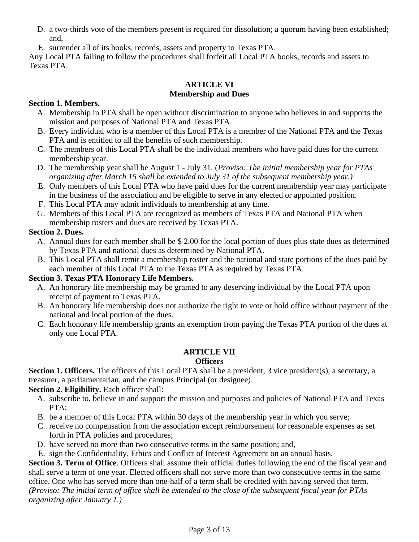- D. a two-thirds vote of the members present is required for dissolution; a quorum having been established; and,
- E. surrender all of its books, records, assets and property to Texas PTA.

Any Local PTA failing to follow the procedures shall forfeit all Local PTA books, records and assets to Texas PTA.

# **ARTICLE VI Membership and Dues**

## **Section 1. Members.**

- A. Membership in PTA shall be open without discrimination to anyone who believes in and supports the mission and purposes of National PTA and Texas PTA.
- B. Every individual who is a member of this Local PTA is a member of the National PTA and the Texas PTA and is entitled to all the benefits of such membership.
- C. The members of this Local PTA shall be the individual members who have paid dues for the current membership year.
- D. The membership year shall be August 1 July 31. (*Proviso: The initial membership year for PTAs organizing after March 15 shall be extended to July 31 of the subsequent membership year.)*
- E. Only members of this Local PTA who have paid dues for the current membership year may participate in the business of the association and be eligible to serve in any elected or appointed position.
- F. This Local PTA may admit individuals to membership at any time.
- G. Members of this Local PTA are recognized as members of Texas PTA and National PTA when membership rosters and dues are received by Texas PTA.

# **Section 2. Dues.**

- A. Annual dues for each member shall be \$ 2.00 for the local portion of dues plus state dues as determined by Texas PTA and national dues as determined by National PTA.
- B. This Local PTA shall remit a membership roster and the national and state portions of the dues paid by each member of this Local PTA to the Texas PTA as required by Texas PTA.

# **Section 3. Texas PTA Honorary Life Members.**

- A. An honorary life membership may be granted to any deserving individual by the Local PTA upon receipt of payment to Texas PTA.
- B. An honorary life membership does not authorize the right to vote or hold office without payment of the national and local portion of the dues.
- C. Each honorary life membership grants an exemption from paying the Texas PTA portion of the dues at only one Local PTA.

# **ARTICLE VII**

# **Officers**

**Section 1. Officers.** The officers of this Local PTA shall be a president, 3 vice president(s), a secretary, a treasurer, a parliamentarian, and the campus Principal (or designee).

**Section 2. Eligibility.** Each officer shall:

- A. subscribe to, believe in and support the mission and purposes and policies of National PTA and Texas PTA:
- B. be a member of this Local PTA within 30 days of the membership year in which you serve;
- C. receive no compensation from the association except reimbursement for reasonable expenses as set forth in PTA policies and procedures;
- D. have served no more than two consecutive terms in the same position; and,
- E. sign the Confidentiality, Ethics and Conflict of Interest Agreement on an annual basis.

**Section 3. Term of Office**. Officers shall assume their official duties following the end of the fiscal year and shall serve a term of one year. Elected officers shall not serve more than two consecutive terms in the same office. One who has served more than one-half of a term shall be credited with having served that term. *(Proviso: The initial term of office shall be extended to the close of the subsequent fiscal year for PTAs organizing after January 1.)*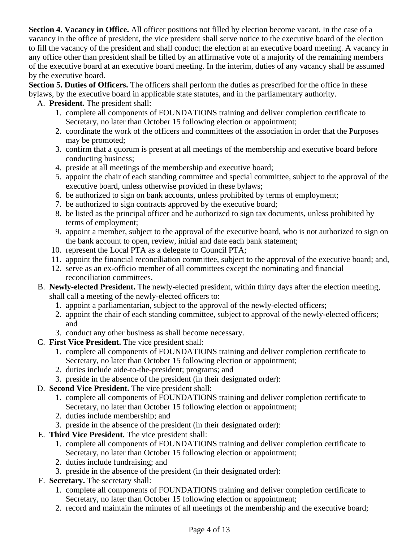**Section 4. Vacancy in Office.** All officer positions not filled by election become vacant. In the case of a vacancy in the office of president, the vice president shall serve notice to the executive board of the election to fill the vacancy of the president and shall conduct the election at an executive board meeting. A vacancy in any office other than president shall be filled by an affirmative vote of a majority of the remaining members of the executive board at an executive board meeting. In the interim, duties of any vacancy shall be assumed by the executive board.

**Section 5. Duties of Officers.** The officers shall perform the duties as prescribed for the office in these bylaws, by the executive board in applicable state statutes, and in the parliamentary authority.

- A. **President.** The president shall:
	- 1. complete all components of FOUNDATIONS training and deliver completion certificate to Secretary, no later than October 15 following election or appointment;
	- 2. coordinate the work of the officers and committees of the association in order that the Purposes may be promoted;
	- 3. confirm that a quorum is present at all meetings of the membership and executive board before conducting business;
	- 4. preside at all meetings of the membership and executive board;
	- 5. appoint the chair of each standing committee and special committee, subject to the approval of the executive board, unless otherwise provided in these bylaws;
	- 6. be authorized to sign on bank accounts, unless prohibited by terms of employment;
	- 7. be authorized to sign contracts approved by the executive board;
	- 8. be listed as the principal officer and be authorized to sign tax documents, unless prohibited by terms of employment;
	- 9. appoint a member, subject to the approval of the executive board, who is not authorized to sign on the bank account to open, review, initial and date each bank statement;
	- 10. represent the Local PTA as a delegate to Council PTA;
	- 11. appoint the financial reconciliation committee, subject to the approval of the executive board; and,
	- 12. serve as an ex-officio member of all committees except the nominating and financial reconciliation committees.
- B. **Newly-elected President.** The newly-elected president, within thirty days after the election meeting, shall call a meeting of the newly-elected officers to:
	- 1. appoint a parliamentarian, subject to the approval of the newly-elected officers;
	- 2. appoint the chair of each standing committee, subject to approval of the newly-elected officers; and
	- 3. conduct any other business as shall become necessary.
- C. **First Vice President.** The vice president shall:
	- 1. complete all components of FOUNDATIONS training and deliver completion certificate to Secretary, no later than October 15 following election or appointment;
	- 2. duties include aide-to-the-president; programs; and
	- 3. preside in the absence of the president (in their designated order):
- D. **Second Vice President.** The vice president shall:
	- 1. complete all components of FOUNDATIONS training and deliver completion certificate to Secretary, no later than October 15 following election or appointment;
	- 2. duties include membership; and
	- 3. preside in the absence of the president (in their designated order):
- E. **Third Vice President.** The vice president shall:
	- 1. complete all components of FOUNDATIONS training and deliver completion certificate to Secretary, no later than October 15 following election or appointment;
	- 2. duties include fundraising; and
	- 3. preside in the absence of the president (in their designated order):
- F. **Secretary.** The secretary shall:
	- 1. complete all components of FOUNDATIONS training and deliver completion certificate to Secretary, no later than October 15 following election or appointment;
	- 2. record and maintain the minutes of all meetings of the membership and the executive board;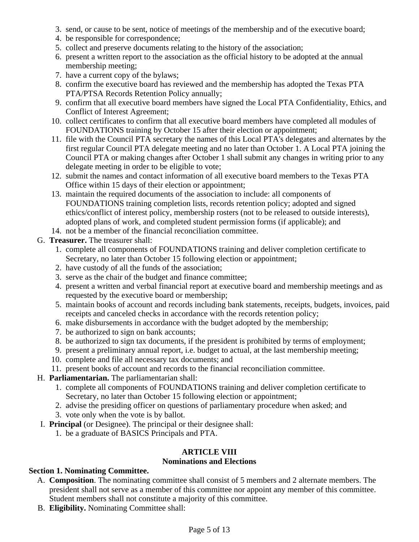- 3. send, or cause to be sent, notice of meetings of the membership and of the executive board;
- 4. be responsible for correspondence;
- 5. collect and preserve documents relating to the history of the association;
- 6. present a written report to the association as the official history to be adopted at the annual membership meeting;
- 7. have a current copy of the bylaws;
- 8. confirm the executive board has reviewed and the membership has adopted the Texas PTA PTA/PTSA Records Retention Policy annually;
- 9. confirm that all executive board members have signed the Local PTA Confidentiality, Ethics, and Conflict of Interest Agreement;
- 10. collect certificates to confirm that all executive board members have completed all modules of FOUNDATIONS training by October 15 after their election or appointment;
- 11. file with the Council PTA secretary the names of this Local PTA's delegates and alternates by the first regular Council PTA delegate meeting and no later than October 1. A Local PTA joining the Council PTA or making changes after October 1 shall submit any changes in writing prior to any delegate meeting in order to be eligible to vote;
- 12. submit the names and contact information of all executive board members to the Texas PTA Office within 15 days of their election or appointment;
- 13. maintain the required documents of the association to include: all components of FOUNDATIONS training completion lists, records retention policy; adopted and signed ethics/conflict of interest policy, membership rosters (not to be released to outside interests), adopted plans of work, and completed student permission forms (if applicable); and
- 14. not be a member of the financial reconciliation committee.
- G. **Treasurer.** The treasurer shall:
	- 1. complete all components of FOUNDATIONS training and deliver completion certificate to Secretary, no later than October 15 following election or appointment;
	- 2. have custody of all the funds of the association;
	- 3. serve as the chair of the budget and finance committee;
	- 4. present a written and verbal financial report at executive board and membership meetings and as requested by the executive board or membership;
	- 5. maintain books of account and records including bank statements, receipts, budgets, invoices, paid receipts and canceled checks in accordance with the records retention policy;
	- 6. make disbursements in accordance with the budget adopted by the membership;
	- 7. be authorized to sign on bank accounts;
	- 8. be authorized to sign tax documents, if the president is prohibited by terms of employment;
	- 9. present a preliminary annual report, i.e. budget to actual, at the last membership meeting;
	- 10. complete and file all necessary tax documents; and
	- 11. present books of account and records to the financial reconciliation committee.
- H. **Parliamentarian.** The parliamentarian shall:
	- 1. complete all components of FOUNDATIONS training and deliver completion certificate to Secretary, no later than October 15 following election or appointment;
	- 2. advise the presiding officer on questions of parliamentary procedure when asked; and
	- 3. vote only when the vote is by ballot.
- I. **Principal** (or Designee). The principal or their designee shall:
	- 1. be a graduate of BASICS Principals and PTA.

# **ARTICLE VIII**

#### **Nominations and Elections**

# **Section 1. Nominating Committee.**

- A. **Composition**. The nominating committee shall consist of 5 members and 2 alternate members. The president shall not serve as a member of this committee nor appoint any member of this committee. Student members shall not constitute a majority of this committee.
- B. **Eligibility.** Nominating Committee shall: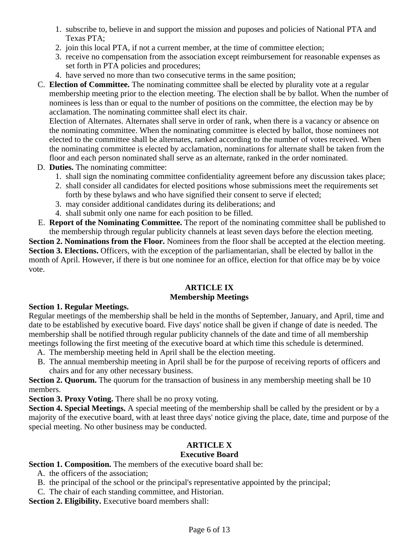- 1. subscribe to, believe in and support the mission and puposes and policies of National PTA and Texas PTA;
- 2. join this local PTA, if not a current member, at the time of committee election;
- 3. receive no compensation from the association except reimbursement for reasonable expenses as set forth in PTA policies and procedures;
- 4. have served no more than two consecutive terms in the same position;

C. **Election of Committee.** The nominating committee shall be elected by plurality vote at a regular membership meeting prior to the election meeting. The election shall be by ballot. When the number of nominees is less than or equal to the number of positions on the committee, the election may be by acclamation. The nominating committee shall elect its chair.

Election of Alternates. Alternates shall serve in order of rank, when there is a vacancy or absence on the nominating committee. When the nominating committee is elected by ballot, those nominees not elected to the committee shall be alternates, ranked according to the number of votes received. When the nominating committee is elected by acclamation, nominations for alternate shall be taken from the floor and each person nominated shall serve as an alternate, ranked in the order nominated.

- D. **Duties.** The nominating committee:
	- 1. shall sign the nominating committee confidentiality agreement before any discussion takes place;
	- 2. shall consider all candidates for elected positions whose submissions meet the requirements set forth by these bylaws and who have signified their consent to serve if elected;
	- 3. may consider additional candidates during its deliberations; and
	- 4. shall submit only one name for each position to be filled.
- E. **Report of the Nominating Committee.** The report of the nominating committee shall be published to the membership through regular publicity channels at least seven days before the election meeting.

**Section 2. Nominations from the Floor.** Nominees from the floor shall be accepted at the election meeting. **Section 3. Elections.** Officers, with the exception of the parliamentarian, shall be elected by ballot in the month of April. However, if there is but one nominee for an office, election for that office may be by voice vote.

#### **ARTICLE IX Membership Meetings**

#### **Section 1. Regular Meetings.**

Regular meetings of the membership shall be held in the months of September, January, and April, time and date to be established by executive board. Five days' notice shall be given if change of date is needed. The membership shall be notified through regular publicity channels of the date and time of all membership meetings following the first meeting of the executive board at which time this schedule is determined.

- A. The membership meeting held in April shall be the election meeting.
- B. The annual membership meeting in April shall be for the purpose of receiving reports of officers and chairs and for any other necessary business.

**Section 2. Quorum.** The quorum for the transaction of business in any membership meeting shall be 10 members.

**Section 3. Proxy Voting.** There shall be no proxy voting.

**Section 4. Special Meetings.** A special meeting of the membership shall be called by the president or by a majority of the executive board, with at least three days' notice giving the place, date, time and purpose of the special meeting. No other business may be conducted.

# **ARTICLE X**

#### **Executive Board**

**Section 1. Composition.** The members of the executive board shall be:

- A. the officers of the association;
- B. the principal of the school or the principal's representative appointed by the principal;
- C. The chair of each standing committee, and Historian.

**Section 2. Eligibility.** Executive board members shall: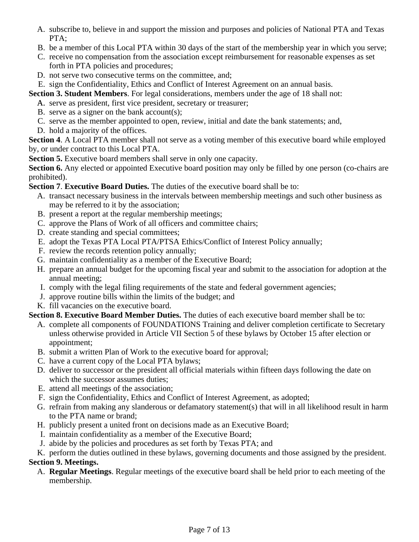- A. subscribe to, believe in and support the mission and purposes and policies of National PTA and Texas PTA:
- B. be a member of this Local PTA within 30 days of the start of the membership year in which you serve;
- C. receive no compensation from the association except reimbursement for reasonable expenses as set forth in PTA policies and procedures;
- D. not serve two consecutive terms on the committee, and;
- E. sign the Confidentiality, Ethics and Conflict of Interest Agreement on an annual basis.

**Section 3. Student Members**. For legal considerations, members under the age of 18 shall not:

- A. serve as president, first vice president, secretary or treasurer;
- B. serve as a signer on the bank account(s);
- C. serve as the member appointed to open, review, initial and date the bank statements; and,
- D. hold a majority of the offices.

**Section 4**. A Local PTA member shall not serve as a voting member of this executive board while employed by, or under contract to this Local PTA.

**Section 5.** Executive board members shall serve in only one capacity.

**Section 6.** Any elected or appointed Executive board position may only be filled by one person (co-chairs are prohibited).

**Section 7**. **Executive Board Duties.** The duties of the executive board shall be to:

- A. transact necessary business in the intervals between membership meetings and such other business as may be referred to it by the association;
- B. present a report at the regular membership meetings;
- C. approve the Plans of Work of all officers and committee chairs;
- D. create standing and special committees;
- E. adopt the Texas PTA Local PTA/PTSA Ethics/Conflict of Interest Policy annually;
- F. review the records retention policy annually;
- G. maintain confidentiality as a member of the Executive Board;
- H. prepare an annual budget for the upcoming fiscal year and submit to the association for adoption at the annual meeting;
- I. comply with the legal filing requirements of the state and federal government agencies;
- J. approve routine bills within the limits of the budget; and
- K. fill vacancies on the executive board.

**Section 8. Executive Board Member Duties.** The duties of each executive board member shall be to:

- A. complete all components of FOUNDATIONS Training and deliver completion certificate to Secretary unless otherwise provided in Article VII Section 5 of these bylaws by October 15 after election or appointment;
- B. submit a written Plan of Work to the executive board for approval;
- C. have a current copy of the Local PTA bylaws;
- D. deliver to successor or the president all official materials within fifteen days following the date on which the successor assumes duties:
- E. attend all meetings of the association;
- F. sign the Confidentiality, Ethics and Conflict of Interest Agreement, as adopted;
- G. refrain from making any slanderous or defamatory statement(s) that will in all likelihood result in harm to the PTA name or brand;
- H. publicly present a united front on decisions made as an Executive Board;
- I. maintain confidentiality as a member of the Executive Board;
- J. abide by the policies and procedures as set forth by Texas PTA; and

K. perform the duties outlined in these bylaws, governing documents and those assigned by the president.

#### **Section 9. Meetings.**

A. **Regular Meetings**. Regular meetings of the executive board shall be held prior to each meeting of the membership.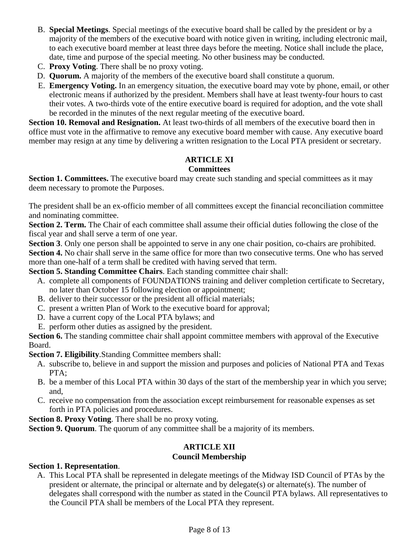- B. **Special Meetings**. Special meetings of the executive board shall be called by the president or by a majority of the members of the executive board with notice given in writing, including electronic mail, to each executive board member at least three days before the meeting. Notice shall include the place, date, time and purpose of the special meeting. No other business may be conducted.
- C. **Proxy Voting**. There shall be no proxy voting.
- D. **Quorum.** A majority of the members of the executive board shall constitute a quorum.
- E. **Emergency Voting.** In an emergency situation, the executive board may vote by phone, email, or other electronic means if authorized by the president. Members shall have at least twenty-four hours to cast their votes. A two-thirds vote of the entire executive board is required for adoption, and the vote shall be recorded in the minutes of the next regular meeting of the executive board.

**Section 10. Removal and Resignation.** At least two-thirds of all members of the executive board then in office must vote in the affirmative to remove any executive board member with cause. Any executive board member may resign at any time by delivering a written resignation to the Local PTA president or secretary.

# **ARTICLE XI**

#### **Committees**

**Section 1. Committees.** The executive board may create such standing and special committees as it may deem necessary to promote the Purposes.

The president shall be an ex-officio member of all committees except the financial reconciliation committee and nominating committee.

**Section 2. Term.** The Chair of each committee shall assume their official duties following the close of the fiscal year and shall serve a term of one year.

**Section 3**. Only one person shall be appointed to serve in any one chair position, co-chairs are prohibited.

**Section 4.** No chair shall serve in the same office for more than two consecutive terms. One who has served more than one-half of a term shall be credited with having served that term.

**Section 5. Standing Committee Chairs**. Each standing committee chair shall:

- A. complete all components of FOUNDATIONS training and deliver completion certificate to Secretary, no later than October 15 following election or appointment;
- B. deliver to their successor or the president all official materials;
- C. present a written Plan of Work to the executive board for approval;
- D. have a current copy of the Local PTA bylaws; and
- E. perform other duties as assigned by the president.

**Section 6.** The standing committee chair shall appoint committee members with approval of the Executive Board.

**Section 7. Eligibility**.Standing Committee members shall:

- A. subscribe to, believe in and support the mission and purposes and policies of National PTA and Texas PTA;
- B. be a member of this Local PTA within 30 days of the start of the membership year in which you serve; and,
- C. receive no compensation from the association except reimbursement for reasonable expenses as set forth in PTA policies and procedures.

**Section 8. Proxy Voting**. There shall be no proxy voting.

**Section 9. Quorum**. The quorum of any committee shall be a majority of its members.

# **ARTICLE XII**

#### **Council Membership**

#### **Section 1. Representation**.

A. This Local PTA shall be represented in delegate meetings of the Midway ISD Council of PTAs by the president or alternate, the principal or alternate and by delegate(s) or alternate(s). The number of delegates shall correspond with the number as stated in the Council PTA bylaws. All representatives to the Council PTA shall be members of the Local PTA they represent.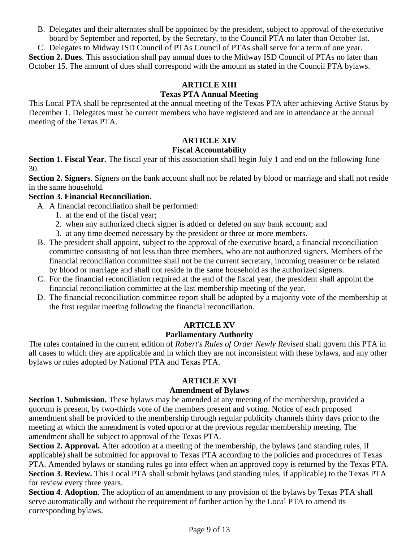B. Delegates and their alternates shall be appointed by the president, subject to approval of the executive board by September and reported, by the Secretary, to the Council PTA no later than October 1st.

C. Delegates to Midway ISD Council of PTAs Council of PTAs shall serve for a term of one year. **Section 2. Dues**. This association shall pay annual dues to the Midway ISD Council of PTAs no later than October 15. The amount of dues shall correspond with the amount as stated in the Council PTA bylaws.

## **ARTICLE XIII**

# **Texas PTA Annual Meeting**

This Local PTA shall be represented at the annual meeting of the Texas PTA after achieving Active Status by December 1. Delegates must be current members who have registered and are in attendance at the annual meeting of the Texas PTA.

# **ARTICLE XIV**

#### **Fiscal Accountability**

**Section 1. Fiscal Year**. The fiscal year of this association shall begin July 1 and end on the following June 30.

**Section 2. Signers**. Signers on the bank account shall not be related by blood or marriage and shall not reside in the same household.

#### **Section 3. Financial Reconciliation.**

- A. A financial reconciliation shall be performed:
	- 1. at the end of the fiscal year;
	- 2. when any authorized check signer is added or deleted on any bank account; and
	- 3. at any time deemed necessary by the president or three or more members.
- B. The president shall appoint, subject to the approval of the executive board, a financial reconciliation committee consisting of not less than three members, who are not authorized signers. Members of the financial reconciliation committee shall not be the current secretary, incoming treasurer or be related by blood or marriage and shall not reside in the same household as the authorized signers.
- C. For the financial reconciliation required at the end of the fiscal year, the president shall appoint the financial reconciliation committee at the last membership meeting of the year.
- D. The financial reconciliation committee report shall be adopted by a majority vote of the membership at the first regular meeting following the financial reconciliation.

#### **ARTICLE XV**

#### **Parliamentary Authority**

The rules contained in the current edition of *Robert's Rules of Order Newly Revised* shall govern this PTA in all cases to which they are applicable and in which they are not inconsistent with these bylaws, and any other bylaws or rules adopted by National PTA and Texas PTA.

#### **ARTICLE XVI**

#### **Amendment of Bylaws**

**Section 1. Submission.** These bylaws may be amended at any meeting of the membership, provided a quorum is present, by two-thirds vote of the members present and voting. Notice of each proposed amendment shall be provided to the membership through regular publicity channels thirty days prior to the meeting at which the amendment is voted upon or at the previous regular membership meeting. The amendment shall be subject to approval of the Texas PTA.

**Section 2. Approval.** After adoption at a meeting of the membership, the bylaws (and standing rules, if applicable) shall be submitted for approval to Texas PTA according to the policies and procedures of Texas PTA. Amended bylaws or standing rules go into effect when an approved copy is returned by the Texas PTA. **Section 3**. **Review.** This Local PTA shall submit bylaws (and standing rules, if applicable) to the Texas PTA for review every three years.

**Section 4**. **Adoption**. The adoption of an amendment to any provision of the bylaws by Texas PTA shall serve automatically and without the requirement of further action by the Local PTA to amend its corresponding bylaws.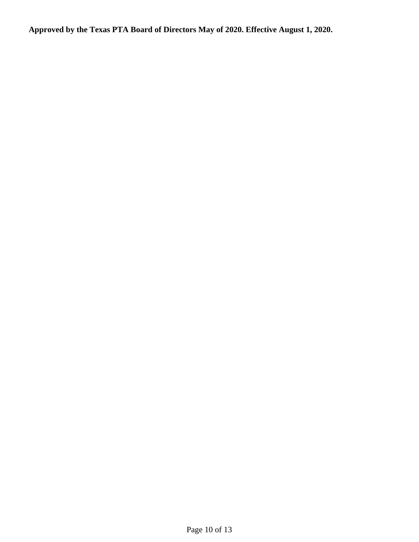**Approved by the Texas PTA Board of Directors May of 2020. Effective August 1, 2020.**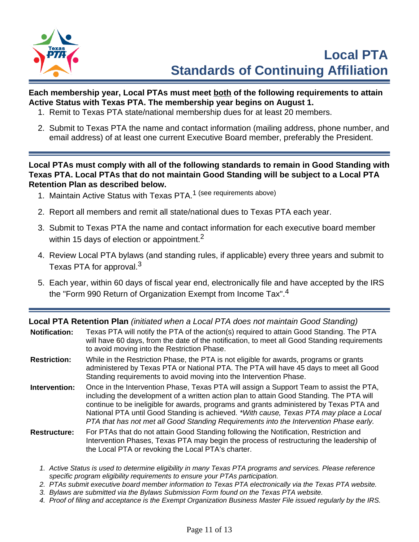

# **Each membership year, Local PTAs must meet both of the following requirements to attain Active Status with Texas PTA. The membership year begins on August 1.**

- 1. Remit to Texas PTA state/national membership dues for at least 20 members.
- 2. Submit to Texas PTA the name and contact information (mailing address, phone number, and email address) of at least one current Executive Board member, preferably the President.

**Local PTAs must comply with all of the following standards to remain in Good Standing with Texas PTA. Local PTAs that do not maintain Good Standing will be subject to a Local PTA Retention Plan as described below.**

- 1. Maintain Active Status with Texas PTA.<sup>1</sup> (see requirements above)
- 2. Report all members and remit all state/national dues to Texas PTA each year.
- 3. Submit to Texas PTA the name and contact information for each executive board member within 15 days of election or appointment.<sup>2</sup>
- 4. Review Local PTA bylaws (and standing rules, if applicable) every three years and submit to Texas PTA for approval.<sup>3</sup>
- 5. Each year, within 60 days of fiscal year end, electronically file and have accepted by the IRS the "Form 990 Return of Organization Exempt from Income Tax".<sup>4</sup>

**Local PTA Retention Plan** (initiated when a Local PTA does not maintain Good Standing)

| <b>Notification:</b> | Texas PTA will notify the PTA of the action(s) required to attain Good Standing. The PTA<br>will have 60 days, from the date of the notification, to meet all Good Standing requirements<br>to avoid moving into the Restriction Phase.                                                                                                                                                                                                                            |
|----------------------|--------------------------------------------------------------------------------------------------------------------------------------------------------------------------------------------------------------------------------------------------------------------------------------------------------------------------------------------------------------------------------------------------------------------------------------------------------------------|
| <b>Restriction:</b>  | While in the Restriction Phase, the PTA is not eligible for awards, programs or grants<br>administered by Texas PTA or National PTA. The PTA will have 45 days to meet all Good<br>Standing requirements to avoid moving into the Intervention Phase.                                                                                                                                                                                                              |
| Intervention:        | Once in the Intervention Phase, Texas PTA will assign a Support Team to assist the PTA,<br>including the development of a written action plan to attain Good Standing. The PTA will<br>continue to be ineligible for awards, programs and grants administered by Texas PTA and<br>National PTA until Good Standing is achieved. *With cause, Texas PTA may place a Local<br>PTA that has not met all Good Standing Requirements into the Intervention Phase early. |
| <b>Restructure:</b>  | For PTAs that do not attain Good Standing following the Notification, Restriction and<br>Intervention Phases, Texas PTA may begin the process of restructuring the leadership of<br>the Local PTA or revoking the Local PTA's charter.                                                                                                                                                                                                                             |

- 1. Active Status is used to determine eligibility in many Texas PTA programs and services. Please reference specific program eligibility requirements to ensure your PTAs participation.
- 2. PTAs submit executive board member information to Texas PTA electronically via the Texas PTA website.
- 3. Bylaws are submitted via the Bylaws Submission Form found on the Texas PTA website.
- 4. Proof of filing and acceptance is the Exempt Organization Business Master File issued regularly by the IRS.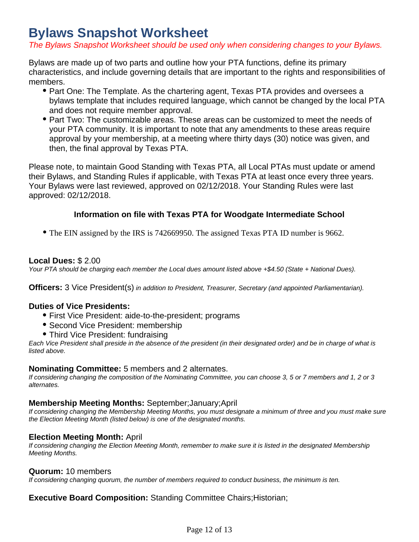# **Bylaws Snapshot Worksheet**

The Bylaws Snapshot Worksheet should be used only when considering changes to your Bylaws.

Bylaws are made up of two parts and outline how your PTA functions, define its primary characteristics, and include governing details that are important to the rights and responsibilities of members.

- Part One: The Template. As the chartering agent, Texas PTA provides and oversees a bylaws template that includes required language, which cannot be changed by the local PTA and does not require member approval.
- Part Two: The customizable areas. These areas can be customized to meet the needs of your PTA community. It is important to note that any amendments to these areas require approval by your membership, at a meeting where thirty days (30) notice was given, and then, the final approval by Texas PTA.

Please note, to maintain Good Standing with Texas PTA, all Local PTAs must update or amend their Bylaws, and Standing Rules if applicable, with Texas PTA at least once every three years. Your Bylaws were last reviewed, approved on 02/12/2018. Your Standing Rules were last approved: 02/12/2018.

# **Information on file with Texas PTA for Woodgate Intermediate School**

The EIN assigned by the IRS is 742669950. The assigned Texas PTA ID number is 9662.

#### **Local Dues:** \$ 2.00

Your PTA should be charging each member the Local dues amount listed above  $+$ \$4.50 (State + National Dues).

**Officers:** 3 Vice President(s) in addition to President, Treasurer, Secretary (and appointed Parliamentarian).

#### **Duties of Vice Presidents:**

- First Vice President: aide-to-the-president; programs
- Second Vice President: membership
- Third Vice President: fundraising

Each Vice President shall preside in the absence of the president (in their designated order) and be in charge of what is listed above.

#### **Nominating Committee:** 5 members and 2 alternates.

If considering changing the composition of the Nominating Committee, you can choose 3, 5 or 7 members and 1, 2 or 3 alternates.

#### **Membership Meeting Months:** September;January;April

If considering changing the Membership Meeting Months, you must designate a minimum of three and you must make sure the Election Meeting Month (listed below) is one of the designated months.

#### **Election Meeting Month:** April

If considering changing the Election Meeting Month, remember to make sure it is listed in the designated Membership Meeting Months.

#### **Quorum:** 10 members

If considering changing quorum, the number of members required to conduct business, the minimum is ten.

## **Executive Board Composition:** Standing Committee Chairs;Historian;